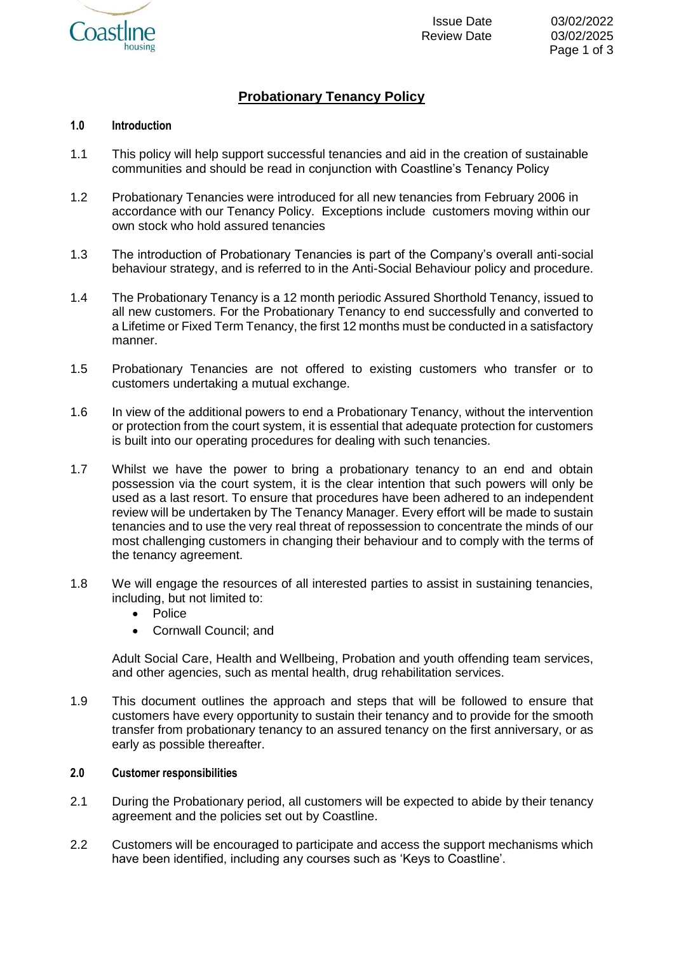

# **Probationary Tenancy Policy**

## **1.0 Introduction**

- 1.1 This policy will help support successful tenancies and aid in the creation of sustainable communities and should be read in conjunction with Coastline's Tenancy Policy
- 1.2 Probationary Tenancies were introduced for all new tenancies from February 2006 in accordance with our Tenancy Policy. Exceptions include customers moving within our own stock who hold assured tenancies
- 1.3 The introduction of Probationary Tenancies is part of the Company's overall anti-social behaviour strategy, and is referred to in the Anti-Social Behaviour policy and procedure.
- 1.4 The Probationary Tenancy is a 12 month periodic Assured Shorthold Tenancy, issued to all new customers. For the Probationary Tenancy to end successfully and converted to a Lifetime or Fixed Term Tenancy, the first 12 months must be conducted in a satisfactory manner.
- 1.5 Probationary Tenancies are not offered to existing customers who transfer or to customers undertaking a mutual exchange.
- 1.6 In view of the additional powers to end a Probationary Tenancy, without the intervention or protection from the court system, it is essential that adequate protection for customers is built into our operating procedures for dealing with such tenancies.
- 1.7 Whilst we have the power to bring a probationary tenancy to an end and obtain possession via the court system, it is the clear intention that such powers will only be used as a last resort. To ensure that procedures have been adhered to an independent review will be undertaken by The Tenancy Manager. Every effort will be made to sustain tenancies and to use the very real threat of repossession to concentrate the minds of our most challenging customers in changing their behaviour and to comply with the terms of the tenancy agreement.
- 1.8 We will engage the resources of all interested parties to assist in sustaining tenancies, including, but not limited to:
	- Police
	- Cornwall Council; and

Adult Social Care, Health and Wellbeing, Probation and youth offending team services, and other agencies, such as mental health, drug rehabilitation services.

1.9 This document outlines the approach and steps that will be followed to ensure that customers have every opportunity to sustain their tenancy and to provide for the smooth transfer from probationary tenancy to an assured tenancy on the first anniversary, or as early as possible thereafter.

## **2.0 Customer responsibilities**

- 2.1 During the Probationary period, all customers will be expected to abide by their tenancy agreement and the policies set out by Coastline.
- 2.2 Customers will be encouraged to participate and access the support mechanisms which have been identified, including any courses such as 'Keys to Coastline'.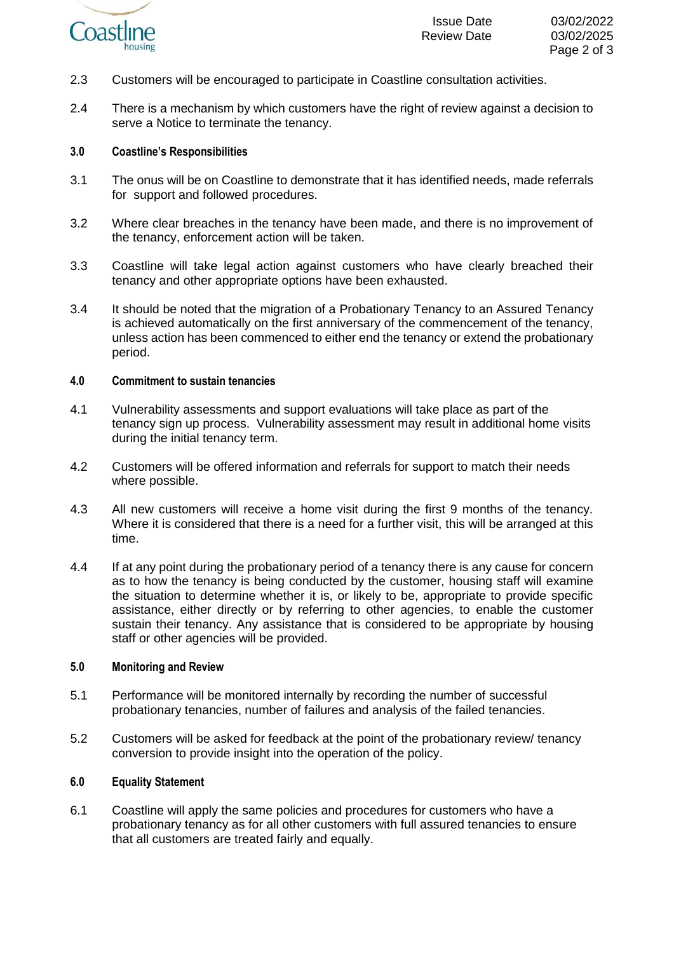

- 2.3 Customers will be encouraged to participate in Coastline consultation activities.
- 2.4 There is a mechanism by which customers have the right of review against a decision to serve a Notice to terminate the tenancy.

### **3.0 Coastline's Responsibilities**

- 3.1 The onus will be on Coastline to demonstrate that it has identified needs, made referrals for support and followed procedures.
- 3.2 Where clear breaches in the tenancy have been made, and there is no improvement of the tenancy, enforcement action will be taken.
- 3.3 Coastline will take legal action against customers who have clearly breached their tenancy and other appropriate options have been exhausted.
- 3.4 It should be noted that the migration of a Probationary Tenancy to an Assured Tenancy is achieved automatically on the first anniversary of the commencement of the tenancy, unless action has been commenced to either end the tenancy or extend the probationary period.

#### **4.0 Commitment to sustain tenancies**

- 4.1 Vulnerability assessments and support evaluations will take place as part of the tenancy sign up process. Vulnerability assessment may result in additional home visits during the initial tenancy term.
- 4.2 Customers will be offered information and referrals for support to match their needs where possible.
- 4.3 All new customers will receive a home visit during the first 9 months of the tenancy. Where it is considered that there is a need for a further visit, this will be arranged at this time.
- 4.4 If at any point during the probationary period of a tenancy there is any cause for concern as to how the tenancy is being conducted by the customer, housing staff will examine the situation to determine whether it is, or likely to be, appropriate to provide specific assistance, either directly or by referring to other agencies, to enable the customer sustain their tenancy. Any assistance that is considered to be appropriate by housing staff or other agencies will be provided.

### **5.0 Monitoring and Review**

- 5.1 Performance will be monitored internally by recording the number of successful probationary tenancies, number of failures and analysis of the failed tenancies.
- 5.2 Customers will be asked for feedback at the point of the probationary review/ tenancy conversion to provide insight into the operation of the policy.

### **6.0 Equality Statement**

6.1 Coastline will apply the same policies and procedures for customers who have a probationary tenancy as for all other customers with full assured tenancies to ensure that all customers are treated fairly and equally.